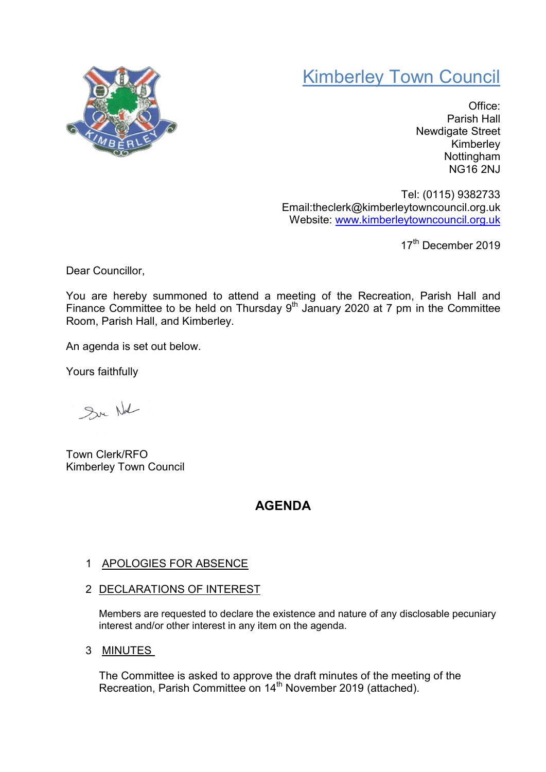

# Kimberley Town Council

Office: Parish Hall Newdigate Street Kimberley Nottingham NG16 2NJ

Tel: (0115) 9382733 Email:theclerk@kimberleytowncouncil.org.uk Website: www.kimberleytowncouncil.org.uk

17<sup>th</sup> December 2019

Dear Councillor,

You are hereby summoned to attend a meeting of the Recreation, Parish Hall and Finance Committee to be held on Thursday  $9<sup>th</sup>$  January 2020 at 7 pm in the Committee Room, Parish Hall, and Kimberley.

An agenda is set out below.

Yours faithfully

Sur Nd

Town Clerk/RFO Kimberley Town Council

## AGENDA

#### 1 APOLOGIES FOR ABSENCE

2 DECLARATIONS OF INTEREST

Members are requested to declare the existence and nature of any disclosable pecuniary interest and/or other interest in any item on the agenda.

3 MINUTES

The Committee is asked to approve the draft minutes of the meeting of the Recreation, Parish Committee on 14<sup>th</sup> November 2019 (attached).